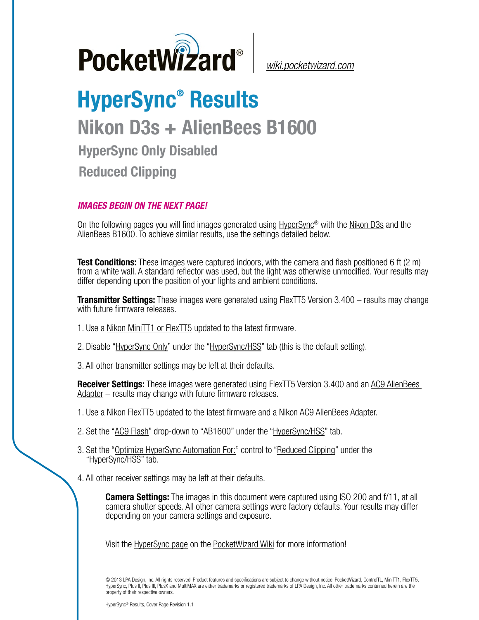

*[wiki.pocketwizard.com](http://wiki.pocketwizard.com/)*

## **HyperSync® Results Nikon D3s + AlienBees B1600 HyperSync Only Disabled Reduced Clipping**

## *IMAGES BEGIN ON THE NEXT PAGE!*

On the following pages you will find images generated using [HyperSync](http://wiki.pocketwizard.com/index.php?title=Hypersync)® with the [Nikon D3s](http://wiki.pocketwizard.com/index.php?title=Nikon_D3s) and the AlienBees B1600. To achieve similar results, use the settings detailed below.

**Test Conditions:** These images were captured indoors, with the camera and flash positioned 6 ft (2 m) from a white wall. A standard reflector was used, but the light was otherwise unmodified. Your results may differ depending upon the position of your lights and ambient conditions.

**Transmitter Settings:** These images were generated using FlexTT5 Version 3.400 – results may change with future firmware releases.

- 1. Use a [Nikon MiniTT1 or FlexTT5](http://wiki.pocketwizard.com/index.php?title=MiniTT1_and_FlexTT5) updated to the latest firmware.
- 2. Disable "[HyperSync Only](http://wiki.pocketwizard.com/index.php?title=Hypersync_hss_tab#HyperSync_Only_.28Disable_HSS.2FFP.29)" under the ["HyperSync/HSS](http://wiki.pocketwizard.com/index.php?title=Hypersync_hss_tab)" tab (this is the default setting).
- 3. All other transmitter settings may be left at their defaults.

**Receiver Settings:** These images were generated using FlexTT5 Version 3.400 and an [AC9 AlienBees](http://wiki.pocketwizard.com/index.php?title=AC9_AlienBees_Adapter)  [Adapter](http://wiki.pocketwizard.com/index.php?title=AC9_AlienBees_Adapter) – results may change with future firmware releases.

- 1. Use a Nikon [FlexTT5](http://wiki.pocketwizard.com/index.php?title=Canon_MiniTT1_and_FlexTT5) updated to the latest firmware and a Nikon AC9 AlienBees Adapter.
- 2. Set the "[AC9 Flash](http://wiki.pocketwizard.com/index.php?title=HyperSync/HSS_Tab#AC9_Flash)" drop-down to "AB1600" under the ["HyperSync/HSS](http://wiki.pocketwizard.com/index.php?title=Hypersync_hss_tab)" tab.
- 3. Set the "[Optimize HyperSync Automation For:](http://wiki.pocketwizard.com/index.php?title=HyperSync/HSS_Tab#Optimize_HyperSync_Automation_For:)" control to ["Reduced Clipping"](http://wiki.pocketwizard.com/index.php?title=HyperSync/HSS_Tab#Optimize_HyperSync_Automation_For:) under the "HyperSync/HSS" tab.
- 4. All other receiver settings may be left at their defaults.

**Camera Settings:** The images in this document were captured using ISO 200 and f/11, at all camera shutter speeds. All other camera settings were factory defaults. Your results may differ depending on your camera settings and exposure.

Visit the [HyperSync page](http://wiki.pocketwizard.com/index.php?title=Hypersync) on the [PocketWizard Wiki](http://wiki.pocketwizard.com/) for more information!

© 2013 LPA Design, Inc. All rights reserved. Product features and specifications are subject to change without notice. PocketWizard, ControlTL, MiniTT1, FlexTT5, HyperSync, Plus II, Plus III, PlusX and MultiMAX are either trademarks or registered trademarks of LPA Design, Inc. All other trademarks contained herein are the property of their respective owners.

HyperSync® Results, Cover Page Revision 1.1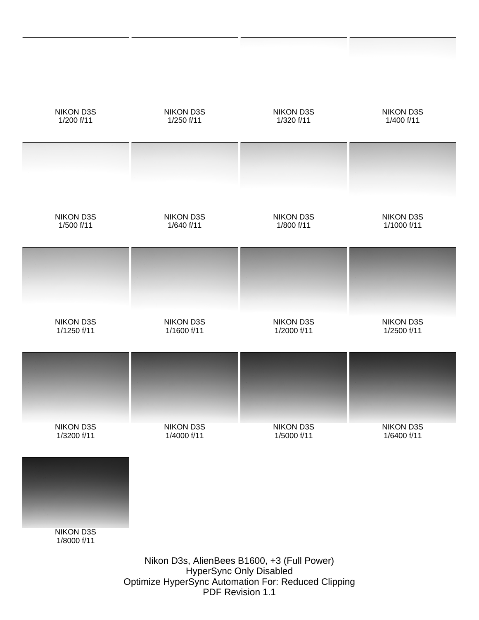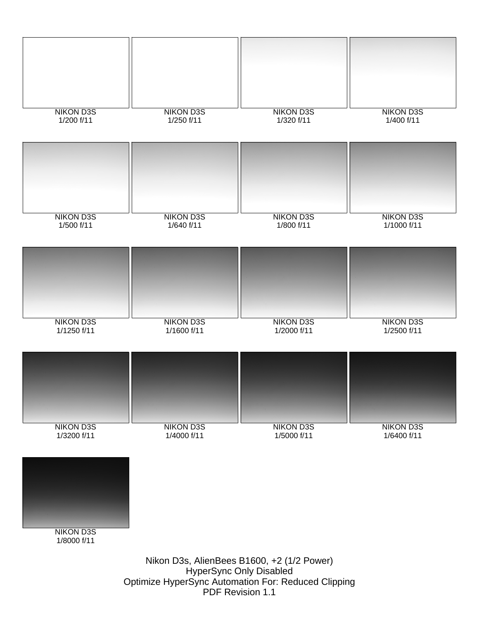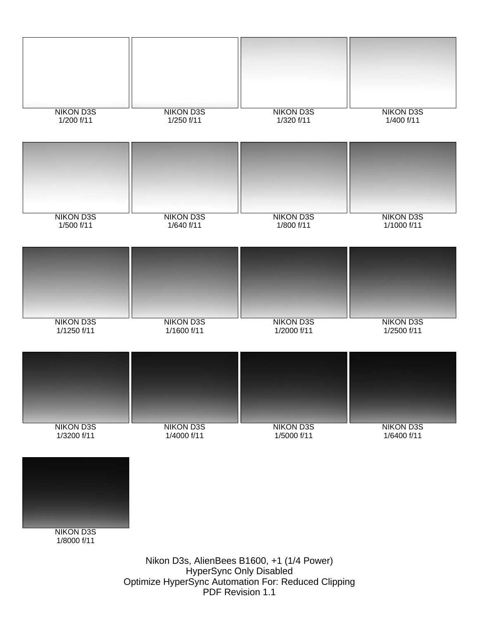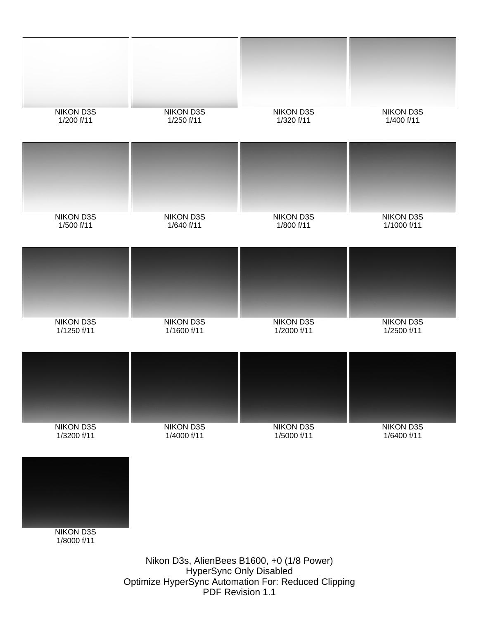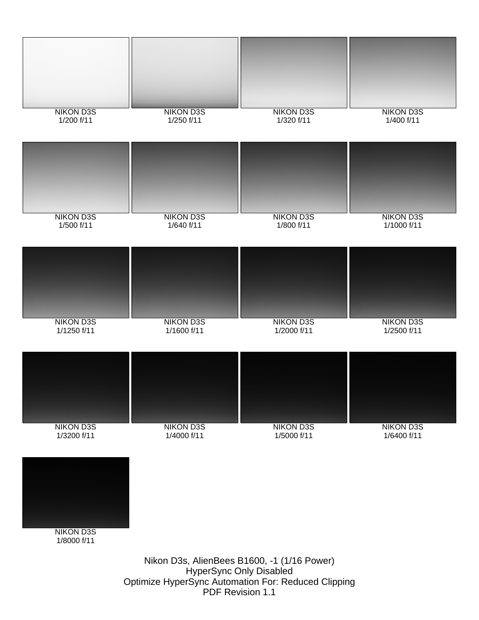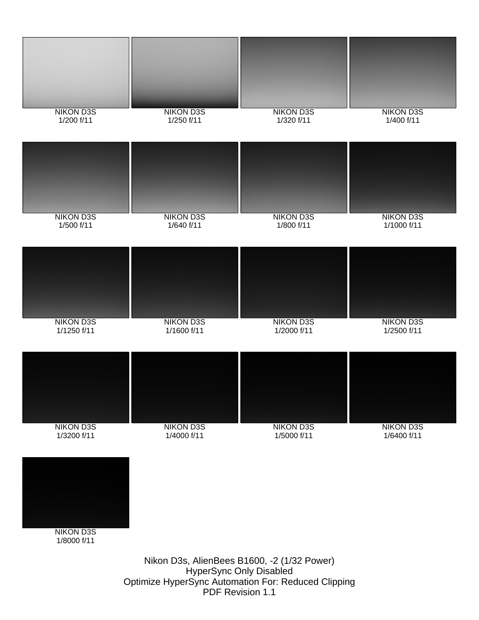